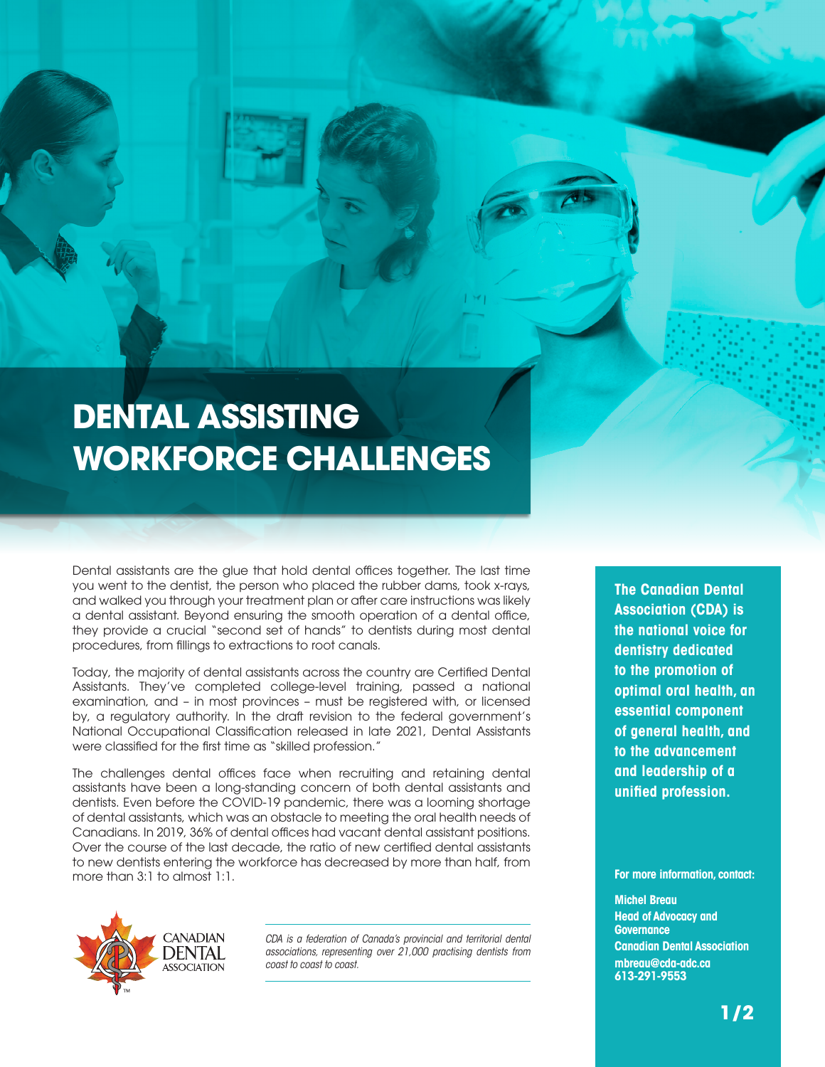## **DENTAL ASSISTING WORKFORCE CHALLENGES**

Dental assistants are the glue that hold dental offices together. The last time you went to the dentist, the person who placed the rubber dams, took x-rays, and walked you through your treatment plan or after care instructions was likely a dental assistant. Beyond ensuring the smooth operation of a dental office, they provide a crucial "second set of hands" to dentists during most dental procedures, from fillings to extractions to root canals.

Today, the majority of dental assistants across the country are Certified Dental Assistants. They've completed college-level training, passed a national examination, and – in most provinces – must be registered with, or licensed by, a regulatory authority. In the draft revision to the federal government's National Occupational Classification released in late 2021, Dental Assistants were classified for the first time as "skilled profession."

The challenges dental offices face when recruiting and retaining dental assistants have been a long-standing concern of both dental assistants and dentists. Even before the COVID-19 pandemic, there was a looming shortage of dental assistants, which was an obstacle to meeting the oral health needs of Canadians. In 2019, 36% of dental offices had vacant dental assistant positions. Over the course of the last decade, the ratio of new certified dental assistants to new dentists entering the workforce has decreased by more than half, from more than 3:1 to almost 1:1.



*CDA is a federation of Canada's provincial and territorial dental associations, representing over 21,000 practising dentists from coast to coast to coast.*

**The Canadian Dental Association (CDA) is the national voice for dentistry dedicated to the promotion of optimal oral health, an essential component of general health, and to the advancement and leadership of a unified profession.**

**For more information, contact:**

## **Michel Breau Head of Advocacy and Governance Canadian Dental Association mbreau@cda-adc.ca 613-291-9553**